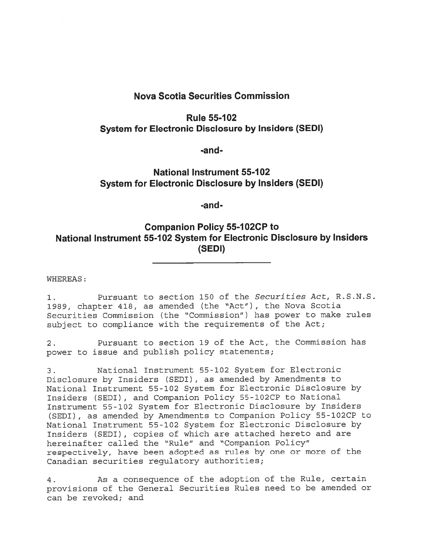## Nova Scotia Securities Commission

## **Rule 55-102** System for Electronic Disclosure by Insiders (SEDI)

-and-

## National Instrument 55-102 System for Electronic Disclosure by Insiders (SEDI)

-and-

## Companion Policy 55-IO2CP to National Instrument 55-1 02 System for Electronic Disclosure by Insiders (SEDI)

WHEREAS:

1. Pursuant to section 150 of the Securities Act, R.S.N.S. 1989, chapter 418, as amended (the "Act") , the Nova Scotia Securities Commission (the "Commission") has power to make rules subject to compliance with the requirements of the Act;

2. Pursuant to section 19 of the Act, the Commission has power to issue and publish policy statements;

3. National Instrument 55-102 System for Electronic Disclosure by Insiders (SEDI), as amended by Amendments to National Instrument 55-102 System for Electronic Disclosure by Insiders (SEDI) , and Companion Policy 55-1O2CP to National Instrument 55-102 System for Electronic Disclosure by Insiders (SEDI), as amended by Amendments to Companion Policy 55-1O2CP to National Instrument 55-102 System for Electronic Disclosure by Insiders (SEDI), copies of which are attached hereto and are hereinafter called the "Rule" and "Companion Policy" respectively, have been adopted as rules by one or more of the Canadian securities regulatory authorities;

4. As <sup>a</sup> consequence of the adoption of the Rule, certain provisions of the General Securities Rules need to be amended or can be revoked; and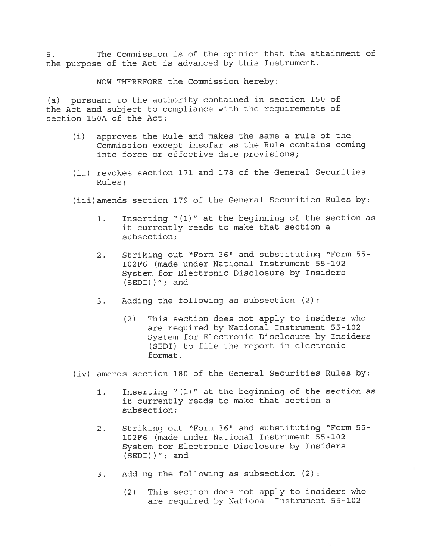5. The Commission is of the opinion that the attainment of the purpose of the Act is advanced by this Instrument.

NOW THEREFORE the Commission hereby:

(a) pursuan<sup>t</sup> to the authority contained in section <sup>150</sup> of the Act and subject to compliance with the requirements of section 150A of the Act:

- (i) approves the Rule and makes the same <sup>a</sup> rule of the Commission excep<sup>t</sup> insofar as the Rule contains coming into force or effective date provisions;
- (ii) revokes section <sup>171</sup> and <sup>178</sup> of the General Securities Rules;
- (iii)amends section <sup>179</sup> of the General Securities Rules by:
	- 1. Inserting "(1)" at the beginning of the section as it currently reads to make that section <sup>a</sup> subsection;
	- 2. Striking out "Form 36" and substituting "Form 55-102F5 (made under National Instrument 55-102 System for Electronic Disclosure by Insiders  $(SEDI)$   $\prime$  ; and
	- 3. Adding the following as subsection (2):
		- (2) This section does not apply to insiders who are required by National Instrument 55-102 System for Electronic Disclosure by Insiders (SEDI) to file the repor<sup>t</sup> in electronic format.
- (iv) amends section <sup>180</sup> of the General Securities Rules by:
	- 1. Inserting "(1)" at the beginning of the section as it currently reads to make that section <sup>a</sup> subsection;
	- 2. Striking out "Form 36" and substituting "Form 55-102F6 (made under National Instrument 55-102 System for Electronic Disclosure by Insiders (SEDI))"; and
	- 3. Adding the following as subsection (2)
		- (2) This section does not apply to insiders who are required by National Instrument 55-102